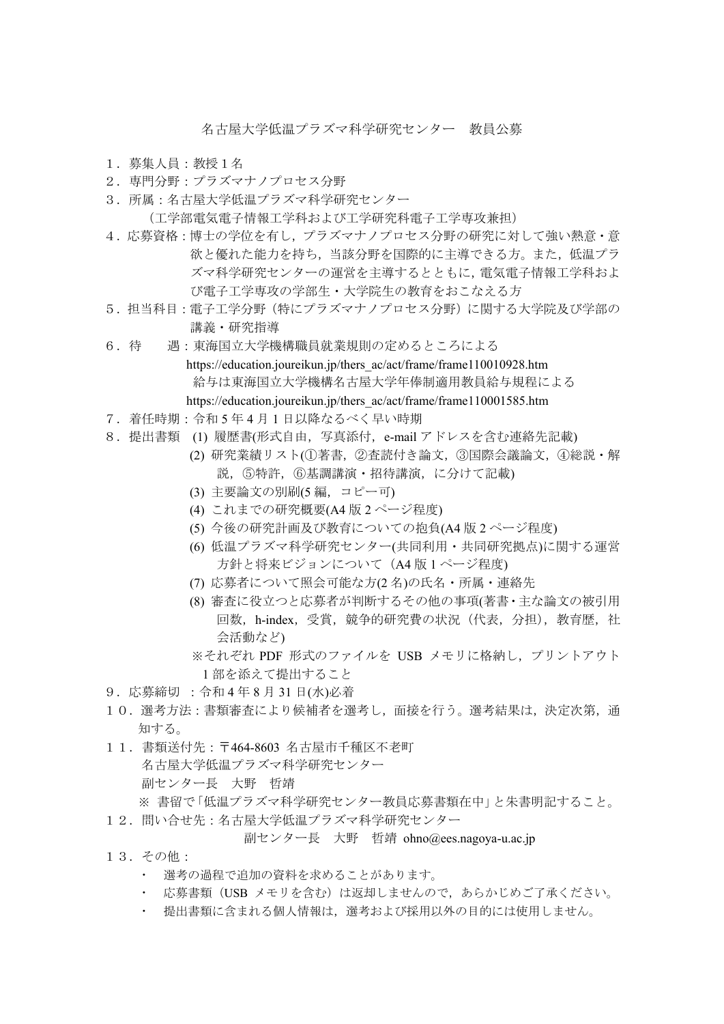名古屋大学低温プラズマ科学研究センター 教員公募

- 1.募集人員:教授1名
- 2.専門分野:プラズマナノプロセス分野
- 3.所属:名古屋大学低温プラズマ科学研究センター (工学部電気電子情報工学科および工学研究科電子工学専攻兼担)
- 4.応募資格:博士の学位を有し,プラズマナノプロセス分野の研究に対して強い熱意・意 欲と優れた能力を持ち,当該分野を国際的に主導できる方。また,低温プラ ズマ科学研究センターの運営を主導するとともに,電気電子情報工学科およ び電子工学専攻の学部生・大学院生の教育をおこなえる方
- 5.担当科目:電子工学分野(特にプラズマナノプロセス分野)に関する大学院及び学部の 講義・研究指導
- 6.待 遇:東海国立大学機構職員就業規則の定めるところによる https://education.joureikun.jp/thers\_ac/act/frame/frame110010928.htm 給与は東海国立大学機構名古屋大学年俸制適用教員給与規程による https://education.joureikun.jp/thers\_ac/act/frame/frame110001585.htm
- 7.着任時期:令和 5 年 4 月 1 日以降なるべく早い時期
- 8.提出書類 (1) 履歴書(形式自由,写真添付,e-mail アドレスを含む連絡先記載)
	- (2) 研究業績リスト(①著書,②査読付き論文,③国際会議論文,④総説・解 説,⑤特許,⑥基調講演・招待講演,に分けて記載)
	- (3) 主要論文の別刷(5 編,コピー可)
	- (4) これまでの研究概要(A4 版 2 ページ程度)
	- (5) 今後の研究計画及び教育についての抱負(A4 版 2 ページ程度)
	- (6) 低温プラズマ科学研究センター(共同利用・共同研究拠点)に関する運営 方針と将来ビジョンについて(A4 版 1 ページ程度)
	- (7) 応募者について照会可能な方(2 名)の氏名・所属・連絡先
	- (8) 審査に役立つと応募者が判断するその他の事項(著書・主な論文の被引用 回数, h-index, 受賞, 競争的研究費の状況 (代表, 分担), 教育歴, 社 会活動など)
	- ※それぞれ PDF 形式のファイルを USB メモリに格納し,プリントアウト 1 部を添えて提出すること
- 9.応募締切 :令和 4 年 8 月 31 日(水)必着
- 10. 選考方法:書類審査により候補者を選考し、面接を行う。選考結果は、決定次第、通 知する。
- 11.書類送付先:〒464-8603 名古屋市千種区不老町 名古屋大学低温プラズマ科学研究センター 副センター長 大野 哲靖 ※ 書留で「低温プラズマ科学研究センター教員応募書類在中」と朱書明記すること。
	-
- 12. 問い合せ先:名古屋大学低温プラズマ科学研究センター

副センター長 大野 哲靖 ohno@ees.nagoya-u.ac.jp

- 13.その他:
	- 選考の過程で追加の資料を求めることがあります。
	- ・ 応募書類(USB メモリを含む)は返却しませんので,あらかじめご了承ください。
	- ・ 提出書類に含まれる個人情報は,選考および採用以外の目的には使用しません。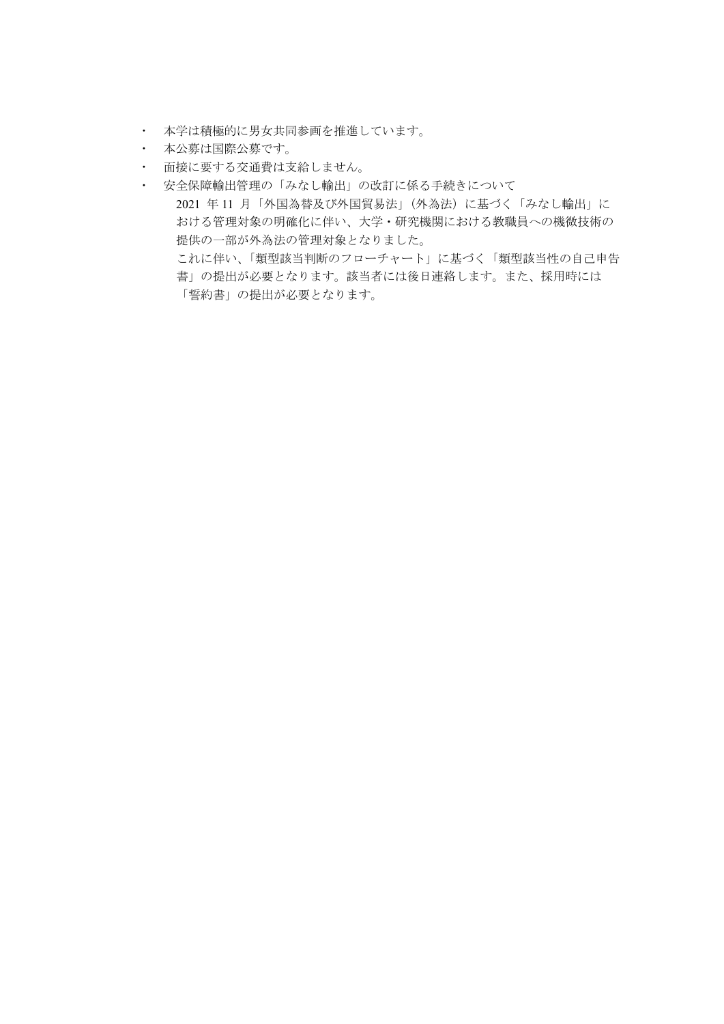- ・ 本学は積極的に男女共同参画を推進しています。
- ・ 本公募は国際公募です。
- ・ 面接に要する交通費は支給しません。
- ・ 安全保障輸出管理の「みなし輸出」の改訂に係る手続きについて 2021 年 11 月「外国為替及び外国貿易法」(外為法)に基づく「みなし輸出」に おける管理対象の明確化に伴い、大学・研究機関における教職員への機微技術の 提供の一部が外為法の管理対象となりました。 これに伴い、「類型該当判断のフローチャート」に基づく「類型該当性の自己申告 書」の提出が必要となります。該当者には後日連絡します。また、採用時には 「誓約書」の提出が必要となります。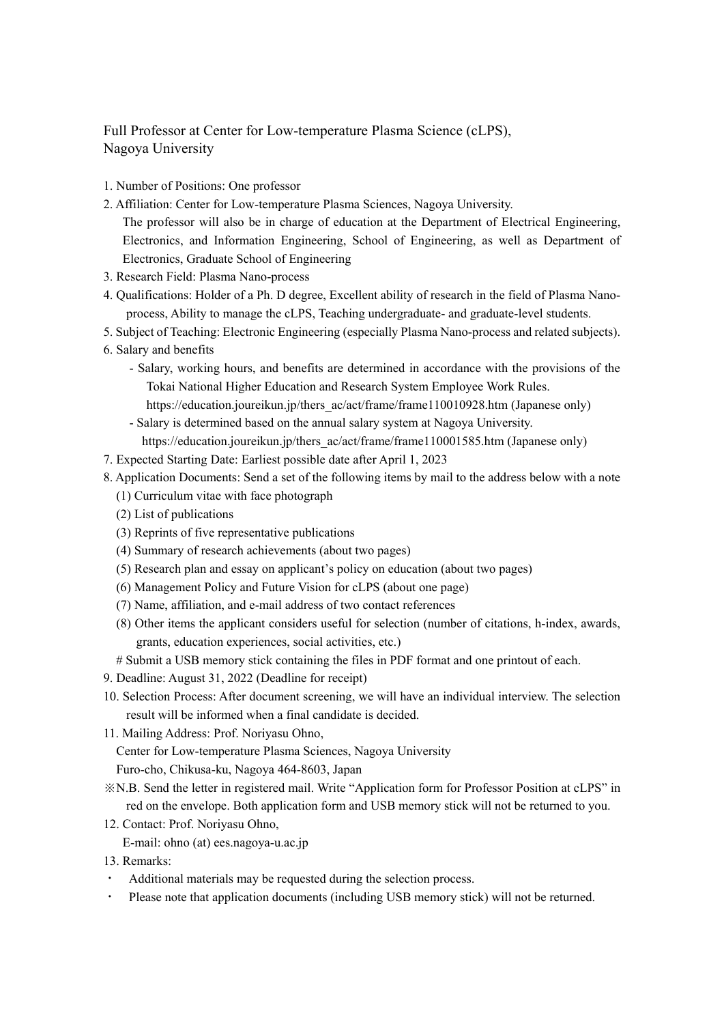## Full Professor at Center for Low-temperature Plasma Science (cLPS), Nagoya University

- 1. Number of Positions: One professor
- 2. Affiliation: Center for Low-temperature Plasma Sciences, Nagoya University.
	- The professor will also be in charge of education at the Department of Electrical Engineering, Electronics, and Information Engineering, School of Engineering, as well as Department of Electronics, Graduate School of Engineering
- 3. Research Field: Plasma Nano-process
- 4. Qualifications: Holder of a Ph. D degree, Excellent ability of research in the field of Plasma Nanoprocess, Ability to manage the cLPS, Teaching undergraduate- and graduate-level students.
- 5. Subject of Teaching: Electronic Engineering (especially Plasma Nano-process and related subjects).
- 6. Salary and benefits
	- Salary, working hours, and benefits are determined in accordance with the provisions of the Tokai National Higher Education and Research System Employee Work Rules.
		- https://education.joureikun.jp/thers\_ac/act/frame/frame110010928.htm (Japanese only)
	- Salary is determined based on the annual salary system at Nagoya University. https://education.joureikun.jp/thers\_ac/act/frame/frame110001585.htm (Japanese only)
- 7. Expected Starting Date: Earliest possible date after April 1, 2023
- 8. Application Documents: Send a set of the following items by mail to the address below with a note
	- (1) Curriculum vitae with face photograph
	- (2) List of publications
	- (3) Reprints of five representative publications
	- (4) Summary of research achievements (about two pages)
	- (5) Research plan and essay on applicant's policy on education (about two pages)
	- (6) Management Policy and Future Vision for cLPS (about one page)
	- (7) Name, affiliation, and e-mail address of two contact references
	- (8) Other items the applicant considers useful for selection (number of citations, h-index, awards, grants, education experiences, social activities, etc.)
	- # Submit a USB memory stick containing the files in PDF format and one printout of each.
- 9. Deadline: August 31, 2022 (Deadline for receipt)
- 10. Selection Process: After document screening, we will have an individual interview. The selection result will be informed when a final candidate is decided.
- 11. Mailing Address: Prof. Noriyasu Ohno,

Center for Low-temperature Plasma Sciences, Nagoya University

Furo-cho, Chikusa-ku, Nagoya 464-8603, Japan

- ※N.B. Send the letter in registered mail. Write "Application form for Professor Position at cLPS" in red on the envelope. Both application form and USB memory stick will not be returned to you.
- 12. Contact: Prof. Noriyasu Ohno,

E-mail: ohno (at) ees.nagoya-u.ac.jp

- 13. Remarks:
- Additional materials may be requested during the selection process.
- ・ Please note that application documents (including USB memory stick) will not be returned.